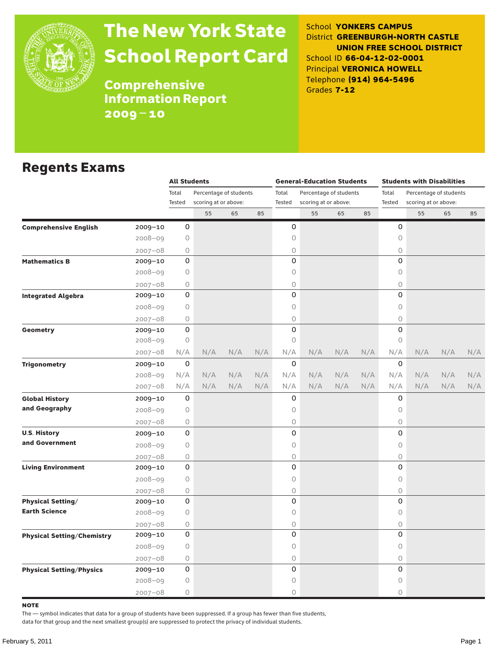

# The New York State School Report Card

School **YONKERS CAMPUS** District **GREENBURGH-NORTH CASTLE UNION FREE SCHOOL DISTRICT** School ID **66-04-12-02-0001** Principal **VERONICA HOWELL** Telephone **(914) 964-5496** Grades **7-12**

**Comprehensive** Information Report 2009–10

#### Regents Exams

|                                   |             | <b>All Students</b>             |     |     |                                 | <b>General-Education Students</b> |                      |     |                                 | <b>Students with Disabilities</b> |                      |     |     |
|-----------------------------------|-------------|---------------------------------|-----|-----|---------------------------------|-----------------------------------|----------------------|-----|---------------------------------|-----------------------------------|----------------------|-----|-----|
|                                   |             | Total<br>Percentage of students |     |     | Total<br>Percentage of students |                                   |                      |     | Total<br>Percentage of students |                                   |                      |     |     |
|                                   |             | Tested<br>scoring at or above:  |     |     |                                 | Tested                            | scoring at or above: |     |                                 | Tested                            | scoring at or above: |     |     |
|                                   |             |                                 | 55  | 65  | 85                              |                                   | 55                   | 65  | 85                              |                                   | 55                   | 65  | 85  |
| <b>Comprehensive English</b>      | 2009-10     | 0                               |     |     |                                 | 0                                 |                      |     |                                 | 0                                 |                      |     |     |
|                                   | $2008 - 09$ | 0                               |     |     |                                 | 0                                 |                      |     |                                 | $\mathsf O$                       |                      |     |     |
|                                   | $2007 - 08$ | 0                               |     |     |                                 | 0                                 |                      |     |                                 | 0                                 |                      |     |     |
| <b>Mathematics B</b>              | $2009 - 10$ | 0                               |     |     |                                 | 0                                 |                      |     |                                 | 0                                 |                      |     |     |
|                                   | $2008 - 09$ | 0                               |     |     |                                 | 0                                 |                      |     |                                 | 0                                 |                      |     |     |
|                                   | $2007 - 08$ | 0                               |     |     |                                 | 0                                 |                      |     |                                 | 0                                 |                      |     |     |
| <b>Integrated Algebra</b>         | $2009 - 10$ | 0                               |     |     |                                 | 0                                 |                      |     |                                 | $\Omega$                          |                      |     |     |
|                                   | 2008-09     | 0                               |     |     |                                 | 0                                 |                      |     |                                 | 0                                 |                      |     |     |
|                                   | $2007 - 08$ | 0                               |     |     |                                 | 0                                 |                      |     |                                 | $\bigcirc$                        |                      |     |     |
| Geometry                          | 2009-10     | 0                               |     |     |                                 | 0                                 |                      |     |                                 | 0                                 |                      |     |     |
|                                   | $2008 - 09$ | 0                               |     |     |                                 | 0                                 |                      |     |                                 | $\circ$                           |                      |     |     |
|                                   | $2007 - 08$ | N/A                             | N/A | N/A | N/A                             | N/A                               | N/A                  | N/A | N/A                             | N/A                               | N/A                  | N/A | N/A |
| <b>Trigonometry</b>               | 2009-10     | 0                               |     |     |                                 | 0                                 |                      |     |                                 | 0                                 |                      |     |     |
|                                   | 2008-09     | N/A                             | N/A | N/A | N/A                             | N/A                               | N/A                  | N/A | N/A                             | N/A                               | N/A                  | N/A | N/A |
|                                   | $2007 - 08$ | N/A                             | N/A | N/A | N/A                             | N/A                               | N/A                  | N/A | N/A                             | N/A                               | N/A                  | N/A | N/A |
| <b>Global History</b>             | 2009-10     | 0                               |     |     |                                 | 0                                 |                      |     |                                 | 0                                 |                      |     |     |
| and Geography                     | $2008 - 09$ | 0                               |     |     |                                 | 0                                 |                      |     |                                 | 0                                 |                      |     |     |
|                                   | $2007 - 08$ | 0                               |     |     |                                 | 0                                 |                      |     |                                 | $\bigcirc$                        |                      |     |     |
| <b>U.S. History</b>               | 2009-10     | 0                               |     |     |                                 | 0                                 |                      |     |                                 | 0                                 |                      |     |     |
| and Government                    | $2008 - 09$ | 0                               |     |     |                                 | 0                                 |                      |     |                                 | 0                                 |                      |     |     |
|                                   | $2007 - 08$ | 0                               |     |     |                                 | 0                                 |                      |     |                                 | $\bigcirc$                        |                      |     |     |
| <b>Living Environment</b>         | 2009-10     | 0                               |     |     |                                 | 0                                 |                      |     |                                 | 0                                 |                      |     |     |
|                                   | $2008 - 09$ | 0                               |     |     |                                 | 0                                 |                      |     |                                 | 0                                 |                      |     |     |
|                                   | $2007 - 08$ | 0                               |     |     |                                 | 0                                 |                      |     |                                 | $\bigcirc$                        |                      |     |     |
| <b>Physical Setting/</b>          | 2009-10     | 0                               |     |     |                                 | 0                                 |                      |     |                                 | 0                                 |                      |     |     |
| <b>Earth Science</b>              | $2008 - 09$ | 0                               |     |     |                                 | 0                                 |                      |     |                                 | 0                                 |                      |     |     |
|                                   | $2007 - 08$ | 0                               |     |     |                                 | 0                                 |                      |     |                                 | 0                                 |                      |     |     |
| <b>Physical Setting/Chemistry</b> | 2009-10     | 0                               |     |     |                                 | 0                                 |                      |     |                                 | 0                                 |                      |     |     |
|                                   | $2008 - 09$ | 0                               |     |     |                                 | 0                                 |                      |     |                                 | 0                                 |                      |     |     |
|                                   | $2007 - 08$ | 0                               |     |     |                                 | 0                                 |                      |     |                                 | $\bigcirc$                        |                      |     |     |
| <b>Physical Setting/Physics</b>   | 2009-10     | 0                               |     |     |                                 | 0                                 |                      |     |                                 | 0                                 |                      |     |     |
|                                   | 2008-09     | 0                               |     |     |                                 | 0                                 |                      |     |                                 | 0                                 |                      |     |     |
|                                   | $2007 - 08$ | 0                               |     |     |                                 | 0                                 |                      |     |                                 | $\circ$                           |                      |     |     |

note

The — symbol indicates that data for a group of students have been suppressed. If a group has fewer than five students,

data for that group and the next smallest group(s) are suppressed to protect the privacy of individual students.